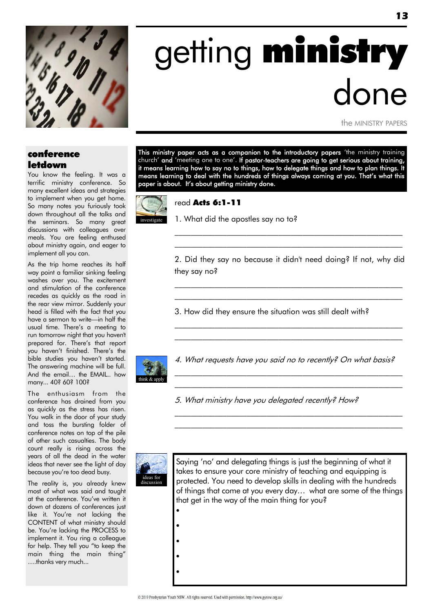

# getting ministry done

the MINISTRY PAPERS

#### conference letdown

You know the feeling. It was a terrific ministry conference. So many excellent ideas and strategies to implement when you get home. So many notes you furiously took down throughout all the talks and the seminars. So many great discussions with colleagues over meals. You are feeling enthused about ministry again, and eager to implement all you can.

As the trip home reaches its half way point a familiar sinking feeling washes over you. The excitement and stimulation of the conference recedes as quickly as the road in the rear view mirror. Suddenly your head is filled with the fact that you have a sermon to write—in half the usual time. There"s a meeting to run tomorrow night that you haven't prepared for. There's that report you haven't finished. There's the bible studies you haven't started. The answering machine will be full. And the email… the EMAIL.. how many... 40? 60? 100?

The enthusiasm from the conference has drained from you as quickly as the stress has risen. You walk in the door of your study and toss the bursting folder of conference notes on top of the pile of other such casualties. The body count really is rising across the years of all the dead in the water ideas that never see the light of day because you"re too dead busy.

The reality is, you already knew most of what was said and taught at the conference. You"ve written it down at dozens of conferences just like it. You"re not lacking the CONTENT of what ministry should be. You"re lacking the PROCESS to implement it. You ring a colleague for help. They tell you "to keep the main thing the main thing" ….thanks very much...

This ministry paper acts as a companion to the introductory papers 'the ministry training church' and 'meeting one to one'. If pastor-teachers are going to get serious about training, it means learning how to say no to things, how to delegate things and how to plan things. It means learning to deal with the hundreds of things always coming at you. That"s what this paper is about. It"s about getting ministry done.



#### read Acts 6:1-11



#### 1. What did the apostles say no to?

2. Did they say no because it didn't need doing? If not, why did they say no?

\_\_\_\_\_\_\_\_\_\_\_\_\_\_\_\_\_\_\_\_\_\_\_\_\_\_\_\_\_\_\_\_\_\_\_\_\_\_\_\_\_\_\_\_\_\_\_\_\_\_\_\_\_\_\_\_\_ \_\_\_\_\_\_\_\_\_\_\_\_\_\_\_\_\_\_\_\_\_\_\_\_\_\_\_\_\_\_\_\_\_\_\_\_\_\_\_\_\_\_\_\_\_\_\_\_\_\_\_\_\_\_\_\_\_

\_\_\_\_\_\_\_\_\_\_\_\_\_\_\_\_\_\_\_\_\_\_\_\_\_\_\_\_\_\_\_\_\_\_\_\_\_\_\_\_\_\_\_\_\_\_\_\_\_\_\_\_\_\_\_\_\_ \_\_\_\_\_\_\_\_\_\_\_\_\_\_\_\_\_\_\_\_\_\_\_\_\_\_\_\_\_\_\_\_\_\_\_\_\_\_\_\_\_\_\_\_\_\_\_\_\_\_\_\_\_\_\_\_\_

\_\_\_\_\_\_\_\_\_\_\_\_\_\_\_\_\_\_\_\_\_\_\_\_\_\_\_\_\_\_\_\_\_\_\_\_\_\_\_\_\_\_\_\_\_\_\_\_\_\_\_\_\_\_\_\_\_ \_\_\_\_\_\_\_\_\_\_\_\_\_\_\_\_\_\_\_\_\_\_\_\_\_\_\_\_\_\_\_\_\_\_\_\_\_\_\_\_\_\_\_\_\_\_\_\_\_\_\_\_\_\_\_\_\_

3. How did they ensure the situation was still dealt with?



4. What requests have you said no to recently? On what basis?

 $\mathcal{L}_\text{max}$  and the contract of the contract of the contract of the contract of the contract of the contract of  $\mathcal{L}_\text{max}$  and the contract of the contract of the contract of the contract of the contract of the contract of

 $\mathcal{L}_\text{max}$  and the contract of the contract of the contract of the contract of the contract of the contract of  $\mathcal{L}_\text{max}$  and the contract of the contract of the contract of the contract of the contract of the contract of

5. What ministry have you delegated recently? How?



 $\bullet$ 

 $\bullet$ 

 $\bullet$ 

 $\bullet$ 

 $\bullet$ 

Saying 'no' and delegating things is just the beginning of what it takes to ensure your core ministry of teaching and equipping is protected. You need to develop skills in dealing with the hundreds of things that come at you every day… what are some of the things that get in the way of the main thing for you?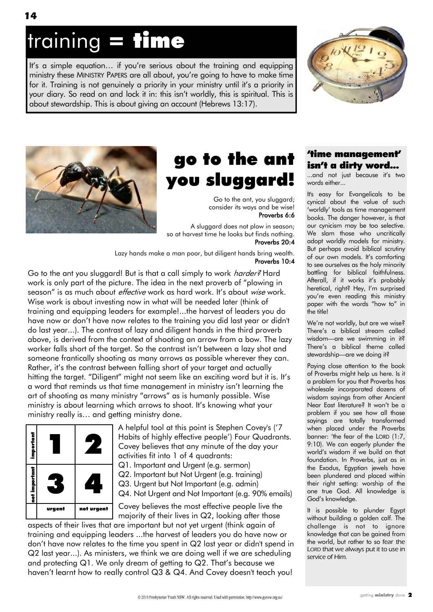# training = time

It's a simple equation... if you're serious about the training and equipping ministry these MINISTRY PAPERS are all about, you"re going to have to make time for it. Training is not genuinely a priority in your ministry until it's a priority in your diary. So read on and lock it in: this isn't worldly, this is spiritual. This is about stewardship. This is about giving an account (Hebrews 13:17).





### go to the ant you sluggard!

Go to the ant, you sluggard; consider its ways and be wise! Proverbs 6:6

A sluggard does not plow in season; so at harvest time he looks but finds nothing. Proverbs 20:4

 Lazy hands make a man poor, but diligent hands bring wealth. Proverbs 10:4

Go to the ant you sluggard! But is that a call simply to work *harder?* Hard work is only part of the picture. The idea in the next proverb of "plowing in season" is as much about *effective* work as hard work. It's about *wise* work. Wise work is about investing now in what will be needed later (think of training and equipping leaders for example!...the harvest of leaders you do have now or don"t have now relates to the training you did last year or didn't do last year...). The contrast of lazy and diligent hands in the third proverb above, is derived from the context of shooting an arrow from a bow. The lazy worker falls short of the target. So the contrast isn't between a lazy shot and someone frantically shooting as many arrows as possible wherever they can. Rather, it's the contrast between falling short of your target and actually hitting the target. "Diligent" might not seem like an exciting word but it is. It's a word that reminds us that time management in ministry isn"t learning the art of shooting as many ministry "arrows" as is humanly possible. Wise ministry is about learning which arrows to shoot. It"s knowing what your ministry really is… and getting ministry done.



A helpful tool at this point is Stephen Covey's ("7 Habits of highly effective people') Four Quadrants. Covey believes that any minute of the day your activities fit into 1 of 4 quadrants: Q1. Important and Urgent (e.g. sermon)

Q2. Important but Not Urgent (e.g. training) Q3. Urgent but Not Important (e.g. admin) Q4. Not Urgent and Not Important (e.g. 90% emails)

Covey believes the most effective people live the majority of their lives in Q2, looking after those

aspects of their lives that are important but not yet urgent (think again of training and equipping leaders ...the harvest of leaders you do have now or don"t have now relates to the time you spent in Q2 last year or didn't spend in Q2 last year...). As ministers, we think we are doing well if we are scheduling and protecting Q1. We only dream of getting to Q2. That's because we haven't learnt how to really control Q3 & Q4. And Covey doesn't teach you!

#### "time management" isn"t a dirty word...

...and not just because it's two words either...

It's easy for Evangelicals to be cynical about the value of such "worldly" tools as time management books. The danger however, is that our cynicism may be too selective. We slam those who uncritically adopt worldly models for ministry. But perhaps avoid biblical scrutiny of our own models. It's comforting to see ourselves as the holy minority battling for biblical faithfulness. Afterall, if it works it's probably heretical, right? Hey, I'm surprised you"re even reading this ministry paper with the words "how to" in the title!

We're not worldly, but are we wise? There"s a biblical stream called wisdom—are we swimming in it? There"s a biblical theme called stewardship—are we doing it?

Paying close attention to the book of Proverbs might help us here. Is it a problem for you that Proverbs has wholesale incorporated dozens of wisdom sayings from other Ancient Near East literature? It won"t be a problem if you see how all those sayings are totally transformed when placed under the Proverbs banner: "the fear of the LORD (1:7, 9:10). We can eagerly plunder the world"s wisdom if we build on that foundation. In Proverbs, just as in the Exodus, Egyptian jewels have been plundered and placed within their right setting: worship of the one true God. All knowledge is God"s knowledge.

It is possible to plunder Egypt without building a golden calf. The challenge is not to ignore knowledge that can be gained from the world, but rather to so fear the LORD that we always put it to use in service of Him.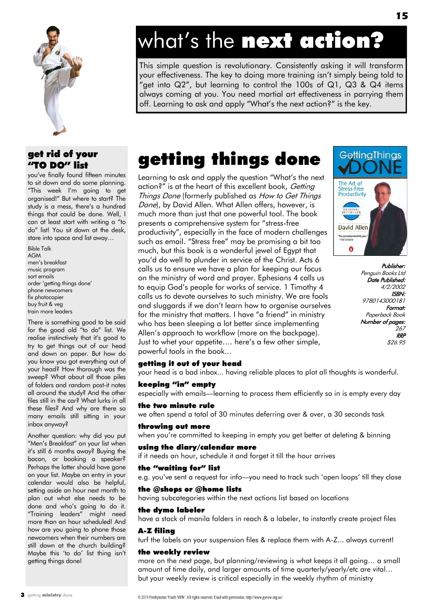

#### get rid of your "TO DO" list

you"ve finally found fifteen minutes to sit down and do some planning. "This week I"m going to get organised!" But where to start? The study is a mess, there's a hundred things that could be done. Well, I can at least start with writing a "to do" list! You sit down at the desk, stare into space and list away…

Bible Talk AGM men"s breakfast music program sort emails order "getting things done" phone newcomers fix photocopier buy fruit & veg train more leaders

There is something good to be said for the good old "to do" list. We realise instinctively that it's good to try to get things out of our head and down on paper. But how do you know you got everything out of your head? How thorough was the sweep? What about all those piles of folders and random post-it notes all around the study? And the other files still in the car? What lurks in all these files? And why are there so many emails still sitting in your inbox anyway?

Another question: why did you put "Men's Breakfast" on your list when it's still 6 months away? Buying the bacon, or booking a speaker? Perhaps the latter should have gone on your list. Maybe an entry in your calendar would also be helpful, setting aside an hour next month to plan out what else needs to be done and who"s going to do it. "Training leaders" might need more than an hour scheduled! And how are you going to phone those newcomers when their numbers are still down at the church building? Maybe this 'to do' list thing isn't getting things done!

# what's the next action?

This simple question is revolutionary. Consistently asking it will transform your effectiveness. The key to doing more training isn"t simply being told to "get into Q2", but learning to control the 100s of Q1, Q3 & Q4 items always coming at you. You need martial art effectiveness in parrying them off. Learning to ask and apply "What"s the next action?" is the key.

### getting things done

Learning to ask and apply the question "What"s the next action?" is at the heart of this excellent book, Getting Things Done (formerly published as How to Get Things Done), by David Allen. What Allen offers, however, is much more than just that one powerful tool. The book presents a comprehensive system for "stress-free productivity", especially in the face of modern challenges such as email. "Stress free" may be promising a bit too much, but this book is a wonderful jewel of Egypt that you"d do well to plunder in service of the Christ. Acts 6 calls us to ensure we have a plan for keeping our focus on the ministry of word and prayer. Ephesians 4 calls us to equip God"s people for works of service. 1 Timothy 4 calls us to devote ourselves to such ministry. We are fools and sluggards if we don"t learn how to organise ourselves for the ministry that matters. I have "a friend" in ministry who has been sleeping a lot better since implementing Allen"s approach to workflow (more on the backpage). Just to whet your appetite…. here"s a few other simple, powerful tools in the book...



Publisher: Penguin Books Ltd Date Published: 4/2/2002 ISBN: 9780143000181 Format: Paperback Book Number of pages: 267 RRP \$26.95

#### getting it out of your head

your head is a bad inbox... having reliable places to plot all thoughts is wonderful.

#### keeping "in" empty

especially with emails—learning to process them efficiently so in is empty every day

#### the two minute rule

we often spend a total of 30 minutes deferring over & over, a 30 seconds task

#### throwing out more

when you're committed to keeping in empty you get better at deleting & binning

#### using the diary/calendar more

if it needs an hour, schedule it and forget it till the hour arrives

#### the "waiting for" list

e.g. you"ve sent a request for info—you need to track such "open loops" till they close

#### the @shops or @home lists

having subcategories within the next actions list based on locations

#### the dymo labeler

have a stack of manila folders in reach & a labeler, to instantly create project files

#### A-Z filing

turf the labels on your suspension files & replace them with A-Z... always current!

#### the weekly review

more on the next page, but planning/reviewing is what keeps it all going… a small amount of time daily, and larger amounts of time quarterly/yearly/etc are vital… but your weekly review is critical especially in the weekly rhythm of ministry